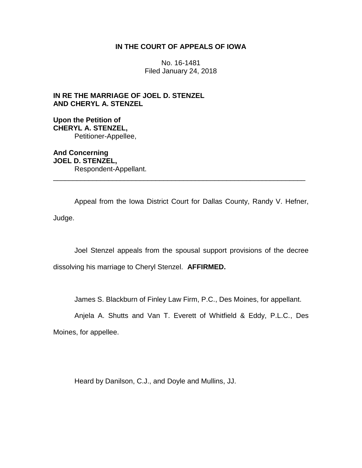## **IN THE COURT OF APPEALS OF IOWA**

No. 16-1481 Filed January 24, 2018

**IN RE THE MARRIAGE OF JOEL D. STENZEL AND CHERYL A. STENZEL**

**Upon the Petition of CHERYL A. STENZEL,** Petitioner-Appellee,

**And Concerning JOEL D. STENZEL,** Respondent-Appellant. \_\_\_\_\_\_\_\_\_\_\_\_\_\_\_\_\_\_\_\_\_\_\_\_\_\_\_\_\_\_\_\_\_\_\_\_\_\_\_\_\_\_\_\_\_\_\_\_\_\_\_\_\_\_\_\_\_\_\_\_\_\_\_\_

Appeal from the Iowa District Court for Dallas County, Randy V. Hefner, Judge.

Joel Stenzel appeals from the spousal support provisions of the decree dissolving his marriage to Cheryl Stenzel. **AFFIRMED.**

James S. Blackburn of Finley Law Firm, P.C., Des Moines, for appellant.

Anjela A. Shutts and Van T. Everett of Whitfield & Eddy, P.L.C., Des Moines, for appellee.

Heard by Danilson, C.J., and Doyle and Mullins, JJ.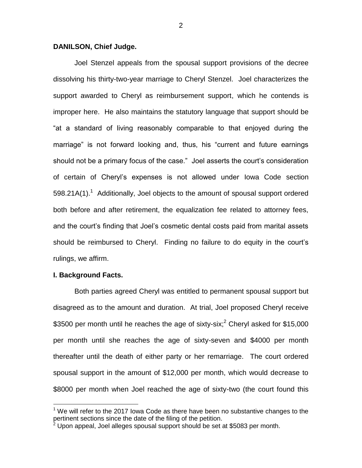## **DANILSON, Chief Judge.**

Joel Stenzel appeals from the spousal support provisions of the decree dissolving his thirty-two-year marriage to Cheryl Stenzel. Joel characterizes the support awarded to Cheryl as reimbursement support, which he contends is improper here. He also maintains the statutory language that support should be "at a standard of living reasonably comparable to that enjoyed during the marriage" is not forward looking and, thus, his "current and future earnings should not be a primary focus of the case." Joel asserts the court's consideration of certain of Cheryl's expenses is not allowed under Iowa Code section 598.21A(1).<sup>1</sup> Additionally, Joel objects to the amount of spousal support ordered both before and after retirement, the equalization fee related to attorney fees, and the court's finding that Joel's cosmetic dental costs paid from marital assets should be reimbursed to Cheryl. Finding no failure to do equity in the court's rulings, we affirm.

#### **I. Background Facts.**

 $\overline{a}$ 

Both parties agreed Cheryl was entitled to permanent spousal support but disagreed as to the amount and duration. At trial, Joel proposed Cheryl receive \$3500 per month until he reaches the age of sixty-six;<sup>2</sup> Cheryl asked for \$15,000 per month until she reaches the age of sixty-seven and \$4000 per month thereafter until the death of either party or her remarriage. The court ordered spousal support in the amount of \$12,000 per month, which would decrease to \$8000 per month when Joel reached the age of sixty-two (the court found this

2

 $1$  We will refer to the 2017 Iowa Code as there have been no substantive changes to the pertinent sections since the date of the filing of the petition.

Upon appeal, Joel alleges spousal support should be set at \$5083 per month.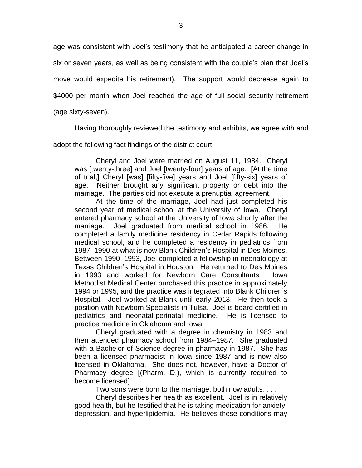age was consistent with Joel's testimony that he anticipated a career change in six or seven years, as well as being consistent with the couple's plan that Joel's move would expedite his retirement). The support would decrease again to \$4000 per month when Joel reached the age of full social security retirement (age sixty-seven).

Having thoroughly reviewed the testimony and exhibits, we agree with and adopt the following fact findings of the district court:

Cheryl and Joel were married on August 11, 1984. Cheryl was [twenty-three] and Joel [twenty-four] years of age. [At the time of trial,] Cheryl [was] [fifty-five] years and Joel [fifty-six] years of age. Neither brought any significant property or debt into the marriage. The parties did not execute a prenuptial agreement.

At the time of the marriage, Joel had just completed his second year of medical school at the University of Iowa. Cheryl entered pharmacy school at the University of Iowa shortly after the marriage. Joel graduated from medical school in 1986. He completed a family medicine residency in Cedar Rapids following medical school, and he completed a residency in pediatrics from 1987–1990 at what is now Blank Children's Hospital in Des Moines. Between 1990–1993, Joel completed a fellowship in neonatology at Texas Children's Hospital in Houston. He returned to Des Moines in 1993 and worked for Newborn Care Consultants. Iowa Methodist Medical Center purchased this practice in approximately 1994 or 1995, and the practice was integrated into Blank Children's Hospital. Joel worked at Blank until early 2013. He then took a position with Newborn Specialists in Tulsa. Joel is board certified in pediatrics and neonatal-perinatal medicine. He is licensed to practice medicine in Oklahoma and Iowa.

Cheryl graduated with a degree in chemistry in 1983 and then attended pharmacy school from 1984–1987. She graduated with a Bachelor of Science degree in pharmacy in 1987. She has been a licensed pharmacist in Iowa since 1987 and is now also licensed in Oklahoma. She does not, however, have a Doctor of Pharmacy degree [(Pharm. D.), which is currently required to become licensed].

Two sons were born to the marriage, both now adults. . . .

Cheryl describes her health as excellent. Joel is in relatively good health, but he testified that he is taking medication for anxiety, depression, and hyperlipidemia. He believes these conditions may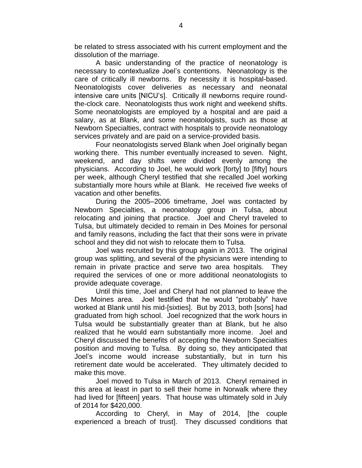be related to stress associated with his current employment and the dissolution of the marriage.

A basic understanding of the practice of neonatology is necessary to contextualize Joel's contentions. Neonatology is the care of critically ill newborns. By necessity it is hospital-based. Neonatologists cover deliveries as necessary and neonatal intensive care units [NICU's]. Critically ill newborns require roundthe-clock care. Neonatologists thus work night and weekend shifts. Some neonatologists are employed by a hospital and are paid a salary, as at Blank, and some neonatologists, such as those at Newborn Specialties, contract with hospitals to provide neonatology services privately and are paid on a service-provided basis.

Four neonatologists served Blank when Joel originally began working there. This number eventually increased to seven. Night, weekend, and day shifts were divided evenly among the physicians. According to Joel, he would work [forty] to [fifty] hours per week, although Cheryl testified that she recalled Joel working substantially more hours while at Blank. He received five weeks of vacation and other benefits.

During the 2005–2006 timeframe, Joel was contacted by Newborn Specialties, a neonatology group in Tulsa, about relocating and joining that practice. Joel and Cheryl traveled to Tulsa, but ultimately decided to remain in Des Moines for personal and family reasons, including the fact that their sons were in private school and they did not wish to relocate them to Tulsa.

Joel was recruited by this group again in 2013. The original group was splitting, and several of the physicians were intending to remain in private practice and serve two area hospitals. They required the services of one or more additional neonatologists to provide adequate coverage.

Until this time, Joel and Cheryl had not planned to leave the Des Moines area. Joel testified that he would "probably" have worked at Blank until his mid-[sixties]. But by 2013, both [sons] had graduated from high school. Joel recognized that the work hours in Tulsa would be substantially greater than at Blank, but he also realized that he would earn substantially more income. Joel and Cheryl discussed the benefits of accepting the Newborn Specialties position and moving to Tulsa. By doing so, they anticipated that Joel's income would increase substantially, but in turn his retirement date would be accelerated. They ultimately decided to make this move.

Joel moved to Tulsa in March of 2013. Cheryl remained in this area at least in part to sell their home in Norwalk where they had lived for [fifteen] years. That house was ultimately sold in July of 2014 for \$420,000.

According to Cheryl, in May of 2014, [the couple experienced a breach of trust]. They discussed conditions that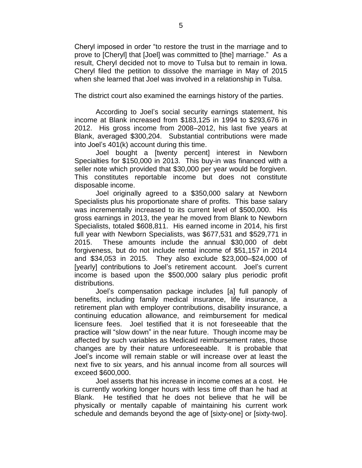Cheryl imposed in order "to restore the trust in the marriage and to prove to [Cheryl] that [Joel] was committed to [the] marriage." As a result, Cheryl decided not to move to Tulsa but to remain in Iowa. Cheryl filed the petition to dissolve the marriage in May of 2015 when she learned that Joel was involved in a relationship in Tulsa.

The district court also examined the earnings history of the parties.

According to Joel's social security earnings statement, his income at Blank increased from \$183,125 in 1994 to \$293,676 in 2012. His gross income from 2008–2012, his last five years at Blank, averaged \$300,204. Substantial contributions were made into Joel's 401(k) account during this time.

Joel bought a [twenty percent] interest in Newborn Specialties for \$150,000 in 2013. This buy-in was financed with a seller note which provided that \$30,000 per year would be forgiven. This constitutes reportable income but does not constitute disposable income.

Joel originally agreed to a \$350,000 salary at Newborn Specialists plus his proportionate share of profits. This base salary was incrementally increased to its current level of \$500,000. His gross earnings in 2013, the year he moved from Blank to Newborn Specialists, totaled \$608,811. His earned income in 2014, his first full year with Newborn Specialists, was \$677,531 and \$529,771 in 2015. These amounts include the annual \$30,000 of debt forgiveness, but do not include rental income of \$51,157 in 2014 and \$34,053 in 2015. They also exclude \$23,000–\$24,000 of [yearly] contributions to Joel's retirement account. Joel's current income is based upon the \$500,000 salary plus periodic profit distributions.

Joel's compensation package includes [a] full panoply of benefits, including family medical insurance, life insurance, a retirement plan with employer contributions, disability insurance, a continuing education allowance, and reimbursement for medical licensure fees. Joel testified that it is not foreseeable that the practice will "slow down" in the near future. Though income may be affected by such variables as Medicaid reimbursement rates, those changes are by their nature unforeseeable. It is probable that Joel's income will remain stable or will increase over at least the next five to six years, and his annual income from all sources will exceed \$600,000.

Joel asserts that his increase in income comes at a cost. He is currently working longer hours with less time off than he had at Blank. He testified that he does not believe that he will be physically or mentally capable of maintaining his current work schedule and demands beyond the age of [sixty-one] or [sixty-two].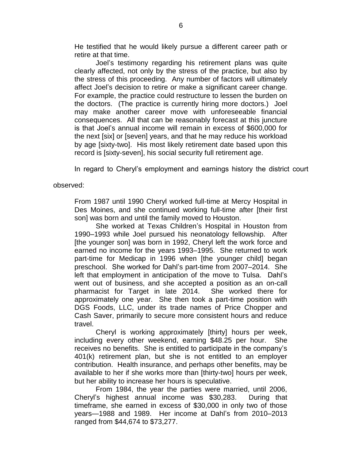He testified that he would likely pursue a different career path or retire at that time.

Joel's testimony regarding his retirement plans was quite clearly affected, not only by the stress of the practice, but also by the stress of this proceeding. Any number of factors will ultimately affect Joel's decision to retire or make a significant career change. For example, the practice could restructure to lessen the burden on the doctors. (The practice is currently hiring more doctors.) Joel may make another career move with unforeseeable financial consequences. All that can be reasonably forecast at this juncture is that Joel's annual income will remain in excess of \$600,000 for the next [six] or [seven] years, and that he may reduce his workload by age [sixty-two]. His most likely retirement date based upon this record is [sixty-seven], his social security full retirement age.

In regard to Cheryl's employment and earnings history the district court

observed:

From 1987 until 1990 Cheryl worked full-time at Mercy Hospital in Des Moines, and she continued working full-time after [their first son] was born and until the family moved to Houston.

She worked at Texas Children's Hospital in Houston from 1990–1993 while Joel pursued his neonatology fellowship. After [the younger son] was born in 1992, Cheryl left the work force and earned no income for the years 1993–1995. She returned to work part-time for Medicap in 1996 when [the younger child] began preschool. She worked for Dahl's part-time from 2007–2014. She left that employment in anticipation of the move to Tulsa. Dahl's went out of business, and she accepted a position as an on-call pharmacist for Target in late 2014. She worked there for approximately one year. She then took a part-time position with DGS Foods, LLC, under its trade names of Price Chopper and Cash Saver, primarily to secure more consistent hours and reduce travel.

Cheryl is working approximately [thirty] hours per week, including every other weekend, earning \$48.25 per hour. She receives no benefits. She is entitled to participate in the company's 401(k) retirement plan, but she is not entitled to an employer contribution. Health insurance, and perhaps other benefits, may be available to her if she works more than [thirty-two] hours per week, but her ability to increase her hours is speculative.

From 1984, the year the parties were married, until 2006, Cheryl's highest annual income was \$30,283. During that timeframe, she earned in excess of \$30,000 in only two of those years—1988 and 1989. Her income at Dahl's from 2010–2013 ranged from \$44,674 to \$73,277.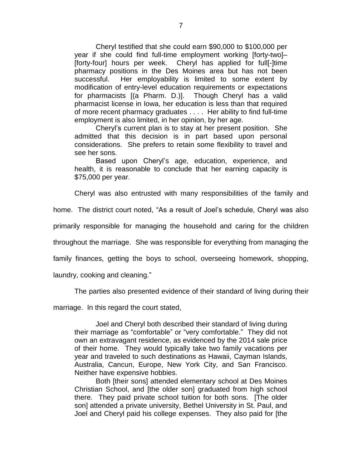Cheryl testified that she could earn \$90,000 to \$100,000 per year if she could find full-time employment working [forty-two]– [forty-four] hours per week. Cheryl has applied for full[-]time pharmacy positions in the Des Moines area but has not been successful. Her employability is limited to some extent by modification of entry-level education requirements or expectations for pharmacists [(a Pharm. D.)]. Though Cheryl has a valid pharmacist license in Iowa, her education is less than that required of more recent pharmacy graduates . . . . Her ability to find full-time employment is also limited, in her opinion, by her age.

Cheryl's current plan is to stay at her present position. She admitted that this decision is in part based upon personal considerations. She prefers to retain some flexibility to travel and see her sons.

Based upon Cheryl's age, education, experience, and health, it is reasonable to conclude that her earning capacity is \$75,000 per year.

Cheryl was also entrusted with many responsibilities of the family and

home. The district court noted, "As a result of Joel's schedule, Cheryl was also

primarily responsible for managing the household and caring for the children

throughout the marriage. She was responsible for everything from managing the

family finances, getting the boys to school, overseeing homework, shopping,

laundry, cooking and cleaning."

The parties also presented evidence of their standard of living during their

marriage. In this regard the court stated,

Joel and Cheryl both described their standard of living during their marriage as "comfortable" or "very comfortable." They did not own an extravagant residence, as evidenced by the 2014 sale price of their home. They would typically take two family vacations per year and traveled to such destinations as Hawaii, Cayman Islands, Australia, Cancun, Europe, New York City, and San Francisco. Neither have expensive hobbies.

Both [their sons] attended elementary school at Des Moines Christian School, and [the older son] graduated from high school there. They paid private school tuition for both sons. [The older son] attended a private university, Bethel University in St. Paul, and Joel and Cheryl paid his college expenses. They also paid for [the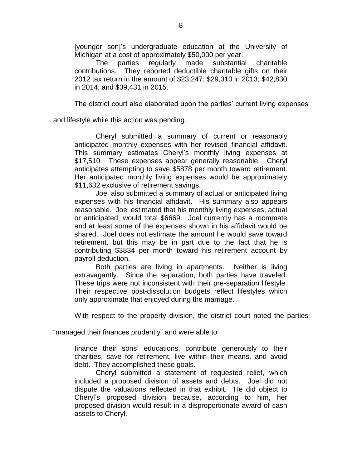[younger son]'s undergraduate education at the University of Michigan at a cost of approximately \$50,000 per year.

The parties regularly made substantial charitable contributions. They reported deductible charitable gifts on their 2012 tax return in the amount of \$23,247; \$29,310 in 2013; \$42,830 in 2014; and \$39,431 in 2015.

The district court also elaborated upon the parties' current living expenses

and lifestyle while this action was pending.

Cheryl submitted a summary of current or reasonably anticipated monthly expenses with her revised financial affidavit. This summary estimates Cheryl's monthly living expenses at \$17,510. These expenses appear generally reasonable. Cheryl anticipates attempting to save \$5878 per month toward retirement. Her anticipated monthly living expenses would be approximately \$11,632 exclusive of retirement savings.

Joel also submitted a summary of actual or anticipated living expenses with his financial affidavit. His summary also appears reasonable. Joel estimated that his monthly living expenses, actual or anticipated, would total \$6669. Joel currently has a roommate and at least some of the expenses shown in his affidavit would be shared. Joel does not estimate the amount he would save toward retirement, but this may be in part due to the fact that he is contributing \$3834 per month toward his retirement account by payroll deduction.

Both parties are living in apartments. Neither is living extravagantly. Since the separation, both parties have traveled. These trips were not inconsistent with their pre-separation lifestyle. Their respective post-dissolution budgets reflect lifestyles which only approximate that enjoyed during the marriage.

With respect to the property division, the district court noted the parties

"managed their finances prudently" and were able to

finance their sons' educations, contribute generously to their charities, save for retirement, live within their means, and avoid debt. They accomplished these goals.

Cheryl submitted a statement of requested relief, which included a proposed division of assets and debts. Joel did not dispute the valuations reflected in that exhibit. He did object to Cheryl's proposed division because, according to him, her proposed division would result in a disproportionate award of cash assets to Cheryl.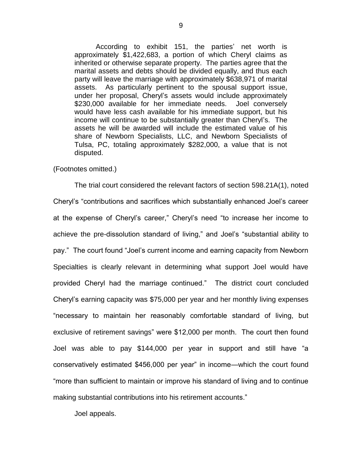According to exhibit 151, the parties' net worth is approximately \$1,422,683, a portion of which Cheryl claims as inherited or otherwise separate property. The parties agree that the marital assets and debts should be divided equally, and thus each party will leave the marriage with approximately \$638,971 of marital assets. As particularly pertinent to the spousal support issue, under her proposal, Cheryl's assets would include approximately \$230,000 available for her immediate needs. Joel conversely would have less cash available for his immediate support, but his income will continue to be substantially greater than Cheryl's. The assets he will be awarded will include the estimated value of his share of Newborn Specialists, LLC, and Newborn Specialists of Tulsa, PC, totaling approximately \$282,000, a value that is not disputed.

#### (Footnotes omitted.)

The trial court considered the relevant factors of section 598.21A(1), noted Cheryl's "contributions and sacrifices which substantially enhanced Joel's career at the expense of Cheryl's career," Cheryl's need "to increase her income to achieve the pre-dissolution standard of living," and Joel's "substantial ability to pay." The court found "Joel's current income and earning capacity from Newborn Specialties is clearly relevant in determining what support Joel would have provided Cheryl had the marriage continued." The district court concluded Cheryl's earning capacity was \$75,000 per year and her monthly living expenses "necessary to maintain her reasonably comfortable standard of living, but exclusive of retirement savings" were \$12,000 per month. The court then found Joel was able to pay \$144,000 per year in support and still have "a conservatively estimated \$456,000 per year" in income—which the court found "more than sufficient to maintain or improve his standard of living and to continue making substantial contributions into his retirement accounts."

Joel appeals.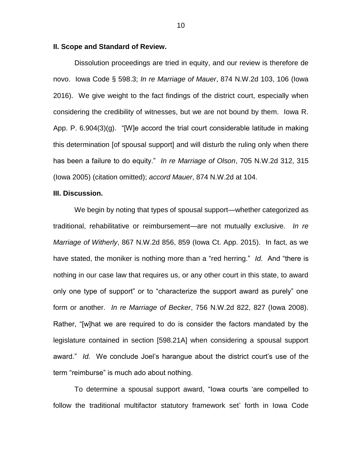#### **II. Scope and Standard of Review.**

Dissolution proceedings are tried in equity, and our review is therefore de novo. Iowa Code § 598.3; *In re Marriage of Mauer*, 874 N.W.2d 103, 106 (Iowa 2016). We give weight to the fact findings of the district court, especially when considering the credibility of witnesses, but we are not bound by them. Iowa R. App. P. 6.904(3)(g). "[W]e accord the trial court considerable latitude in making this determination [of spousal support] and will disturb the ruling only when there has been a failure to do equity." *In re Marriage of Olson*, 705 N.W.2d 312, 315 (Iowa 2005) (citation omitted); *accord Mauer*, 874 N.W.2d at 104.

## **III. Discussion.**

We begin by noting that types of spousal support—whether categorized as traditional, rehabilitative or reimbursement—are not mutually exclusive. *In re Marriage of Witherly*, 867 N.W.2d 856, 859 (Iowa Ct. App. 2015). In fact, as we have stated, the moniker is nothing more than a "red herring." *Id.* And "there is nothing in our case law that requires us, or any other court in this state, to award only one type of support" or to "characterize the support award as purely" one form or another. *In re Marriage of Becker*, 756 N.W.2d 822, 827 (Iowa 2008). Rather, "[w]hat we are required to do is consider the factors mandated by the legislature contained in section [598.21A] when considering a spousal support award." *Id.* We conclude Joel's harangue about the district court's use of the term "reimburse" is much ado about nothing.

To determine a spousal support award, "Iowa courts 'are compelled to follow the traditional multifactor statutory framework set' forth in Iowa Code

10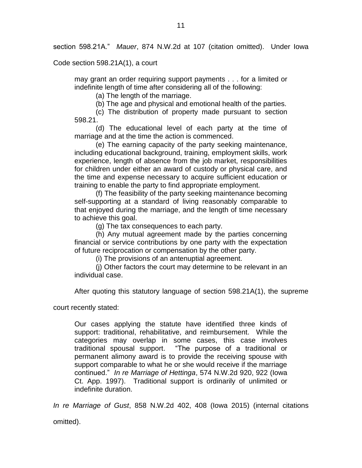section 598.21A." *Mauer*, 874 N.W.2d at 107 (citation omitted). Under Iowa

Code section 598.21A(1), a court

may grant an order requiring support payments . . . for a limited or indefinite length of time after considering all of the following:

(a) The length of the marriage.

(b) The age and physical and emotional health of the parties.

(c) The distribution of property made pursuant to section 598.21.

(d) The educational level of each party at the time of marriage and at the time the action is commenced.

(e) The earning capacity of the party seeking maintenance, including educational background, training, employment skills, work experience, length of absence from the job market, responsibilities for children under either an award of custody or physical care, and the time and expense necessary to acquire sufficient education or training to enable the party to find appropriate employment.

(f) The feasibility of the party seeking maintenance becoming self-supporting at a standard of living reasonably comparable to that enjoyed during the marriage, and the length of time necessary to achieve this goal.

(g) The tax consequences to each party.

(h) Any mutual agreement made by the parties concerning financial or service contributions by one party with the expectation of future reciprocation or compensation by the other party.

(i) The provisions of an antenuptial agreement.

(j) Other factors the court may determine to be relevant in an individual case.

After quoting this statutory language of section 598.21A(1), the supreme

court recently stated:

Our cases applying the statute have identified three kinds of support: traditional, rehabilitative, and reimbursement. While the categories may overlap in some cases, this case involves traditional spousal support. "The purpose of a traditional or permanent alimony award is to provide the receiving spouse with support comparable to what he or she would receive if the marriage continued." *In re Marriage of Hettinga*, 574 N.W.2d 920, 922 (Iowa Ct. App. 1997). Traditional support is ordinarily of unlimited or indefinite duration.

*In re Marriage of Gust*, 858 N.W.2d 402, 408 (Iowa 2015) (internal citations

omitted).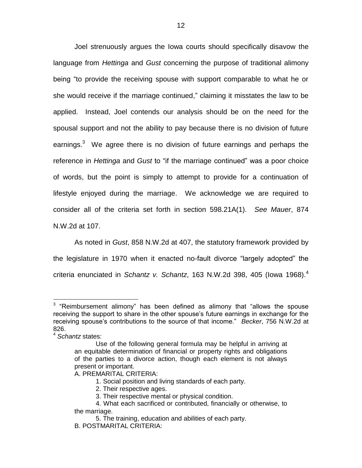Joel strenuously argues the Iowa courts should specifically disavow the language from *Hettinga* and *Gust* concerning the purpose of traditional alimony being "to provide the receiving spouse with support comparable to what he or she would receive if the marriage continued," claiming it misstates the law to be applied. Instead, Joel contends our analysis should be on the need for the spousal support and not the ability to pay because there is no division of future earnings.<sup>3</sup> We agree there is no division of future earnings and perhaps the reference in *Hettinga* and *Gust* to "if the marriage continued" was a poor choice of words, but the point is simply to attempt to provide for a continuation of lifestyle enjoyed during the marriage. We acknowledge we are required to consider all of the criteria set forth in section 598.21A(1). *See Mauer*, 874 N.W.2d at 107.

As noted in *Gust*, 858 N.W.2d at 407, the statutory framework provided by the legislature in 1970 when it enacted no-fault divorce "largely adopted" the criteria enunciated in *Schantz v. Schantz*, 163 N.W.2d 398, 405 (Iowa 1968).<sup>4</sup>

- A. PREMARITAL CRITERIA:
	- 1. Social position and living standards of each party.
	- 2. Their respective ages.

**EXECUS ENEX TE 12**<br><sup>3</sup> "Reimbursement alimony" has been defined as alimony that "allows the spouse receiving the support to share in the other spouse's future earnings in exchange for the receiving spouse's contributions to the source of that income." *Becker*, 756 N.W.2d at 826.

<sup>4</sup> *Schantz* states:

Use of the following general formula may be helpful in arriving at an equitable determination of financial or property rights and obligations of the parties to a divorce action, though each element is not always present or important.

<sup>3.</sup> Their respective mental or physical condition.

<sup>4.</sup> What each sacrificed or contributed, financially or otherwise, to the marriage.

<sup>5.</sup> The training, education and abilities of each party.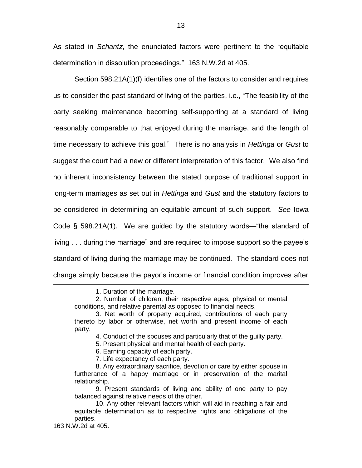As stated in *Schantz*, the enunciated factors were pertinent to the "equitable determination in dissolution proceedings." 163 N.W.2d at 405.

Section 598.21A(1)(f) identifies one of the factors to consider and requires us to consider the past standard of living of the parties, i.e., "The feasibility of the party seeking maintenance becoming self-supporting at a standard of living reasonably comparable to that enjoyed during the marriage, and the length of time necessary to achieve this goal." There is no analysis in *Hettinga* or *Gust* to suggest the court had a new or different interpretation of this factor. We also find no inherent inconsistency between the stated purpose of traditional support in long-term marriages as set out in *Hettinga* and *Gust* and the statutory factors to be considered in determining an equitable amount of such support. *See* Iowa Code § 598.21A(1). We are guided by the statutory words—"the standard of living . . . during the marriage" and are required to impose support so the payee's standard of living during the marriage may be continued. The standard does not change simply because the payor's income or financial condition improves after

7. Life expectancy of each party.

 $\overline{a}$ 

<sup>1.</sup> Duration of the marriage.

<sup>2.</sup> Number of children, their respective ages, physical or mental conditions, and relative parental as opposed to financial needs.

<sup>3.</sup> Net worth of property acquired, contributions of each party thereto by labor or otherwise, net worth and present income of each party.

<sup>4.</sup> Conduct of the spouses and particularly that of the guilty party.

<sup>5.</sup> Present physical and mental health of each party.

<sup>6.</sup> Earning capacity of each party.

<sup>8.</sup> Any extraordinary sacrifice, devotion or care by either spouse in furtherance of a happy marriage or in preservation of the marital relationship.

<sup>9.</sup> Present standards of living and ability of one party to pay balanced against relative needs of the other.

<sup>10.</sup> Any other relevant factors which will aid in reaching a fair and equitable determination as to respective rights and obligations of the parties.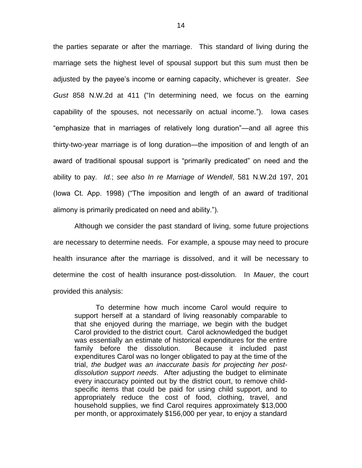the parties separate or after the marriage. This standard of living during the marriage sets the highest level of spousal support but this sum must then be adjusted by the payee's income or earning capacity, whichever is greater. *See Gust* 858 N.W.2d at 411 ("In determining need, we focus on the earning capability of the spouses, not necessarily on actual income."). Iowa cases "emphasize that in marriages of relatively long duration"—and all agree this thirty-two-year marriage is of long duration—the imposition of and length of an award of traditional spousal support is "primarily predicated" on need and the ability to pay. *Id.*; *see also In re Marriage of Wendell*, 581 N.W.2d 197, 201 (Iowa Ct. App. 1998) ("The imposition and length of an award of traditional alimony is primarily predicated on need and ability.").

Although we consider the past standard of living, some future projections are necessary to determine needs. For example, a spouse may need to procure health insurance after the marriage is dissolved, and it will be necessary to determine the cost of health insurance post-dissolution. In *Mauer*, the court provided this analysis:

To determine how much income Carol would require to support herself at a standard of living reasonably comparable to that she enjoyed during the marriage, we begin with the budget Carol provided to the district court. Carol acknowledged the budget was essentially an estimate of historical expenditures for the entire family before the dissolution. Because it included past expenditures Carol was no longer obligated to pay at the time of the trial, *the budget was an inaccurate basis for projecting her postdissolution support needs*. After adjusting the budget to eliminate every inaccuracy pointed out by the district court, to remove childspecific items that could be paid for using child support, and to appropriately reduce the cost of food, clothing, travel, and household supplies, we find Carol requires approximately \$13,000 per month, or approximately \$156,000 per year, to enjoy a standard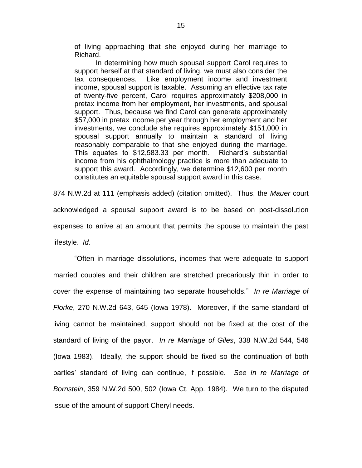of living approaching that she enjoyed during her marriage to Richard.

In determining how much spousal support Carol requires to support herself at that standard of living, we must also consider the tax consequences. Like employment income and investment income, spousal support is taxable. Assuming an effective tax rate of twenty-five percent, Carol requires approximately \$208,000 in pretax income from her employment, her investments, and spousal support. Thus, because we find Carol can generate approximately \$57,000 in pretax income per year through her employment and her investments, we conclude she requires approximately \$151,000 in spousal support annually to maintain a standard of living reasonably comparable to that she enjoyed during the marriage. This equates to \$12,583.33 per month. Richard's substantial income from his ophthalmology practice is more than adequate to support this award. Accordingly, we determine \$12,600 per month constitutes an equitable spousal support award in this case.

874 N.W.2d at 111 (emphasis added) (citation omitted). Thus, the *Mauer* court acknowledged a spousal support award is to be based on post-dissolution expenses to arrive at an amount that permits the spouse to maintain the past lifestyle. *Id.*

"Often in marriage dissolutions, incomes that were adequate to support married couples and their children are stretched precariously thin in order to cover the expense of maintaining two separate households." *In re Marriage of Florke*, 270 N.W.2d 643, 645 (Iowa 1978). Moreover, if the same standard of living cannot be maintained, support should not be fixed at the cost of the standard of living of the payor. *In re Marriage of Giles*, 338 N.W.2d 544, 546 (Iowa 1983). Ideally, the support should be fixed so the continuation of both parties' standard of living can continue, if possible. *See In re Marriage of Bornstein*, 359 N.W.2d 500, 502 (Iowa Ct. App. 1984). We turn to the disputed issue of the amount of support Cheryl needs.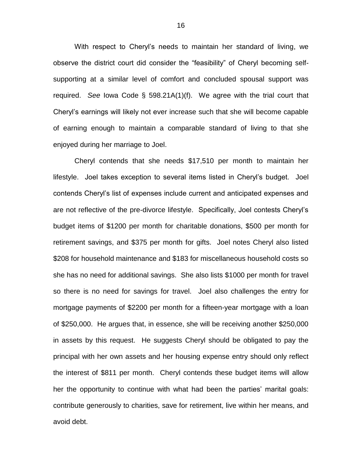With respect to Cheryl's needs to maintain her standard of living, we observe the district court did consider the "feasibility" of Cheryl becoming selfsupporting at a similar level of comfort and concluded spousal support was required. *See* Iowa Code § 598.21A(1)(f). We agree with the trial court that Cheryl's earnings will likely not ever increase such that she will become capable of earning enough to maintain a comparable standard of living to that she enjoyed during her marriage to Joel.

Cheryl contends that she needs \$17,510 per month to maintain her lifestyle. Joel takes exception to several items listed in Cheryl's budget. Joel contends Cheryl's list of expenses include current and anticipated expenses and are not reflective of the pre-divorce lifestyle. Specifically, Joel contests Cheryl's budget items of \$1200 per month for charitable donations, \$500 per month for retirement savings, and \$375 per month for gifts. Joel notes Cheryl also listed \$208 for household maintenance and \$183 for miscellaneous household costs so she has no need for additional savings. She also lists \$1000 per month for travel so there is no need for savings for travel. Joel also challenges the entry for mortgage payments of \$2200 per month for a fifteen-year mortgage with a loan of \$250,000. He argues that, in essence, she will be receiving another \$250,000 in assets by this request. He suggests Cheryl should be obligated to pay the principal with her own assets and her housing expense entry should only reflect the interest of \$811 per month. Cheryl contends these budget items will allow her the opportunity to continue with what had been the parties' marital goals: contribute generously to charities, save for retirement, live within her means, and avoid debt.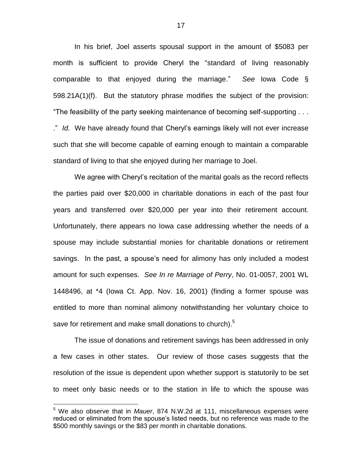In his brief, Joel asserts spousal support in the amount of \$5083 per month is sufficient to provide Cheryl the "standard of living reasonably comparable to that enjoyed during the marriage." *See* Iowa Code § 598.21A(1)(f). But the statutory phrase modifies the subject of the provision: "The feasibility of the party seeking maintenance of becoming self-supporting . . . ." *Id.* We have already found that Cheryl's earnings likely will not ever increase such that she will become capable of earning enough to maintain a comparable standard of living to that she enjoyed during her marriage to Joel.

We agree with Cheryl's recitation of the marital goals as the record reflects the parties paid over \$20,000 in charitable donations in each of the past four years and transferred over \$20,000 per year into their retirement account. Unfortunately, there appears no Iowa case addressing whether the needs of a spouse may include substantial monies for charitable donations or retirement savings. In the past, a spouse's need for alimony has only included a modest amount for such expenses. *See In re Marriage of Perry*, No. 01-0057, 2001 WL 1448496, at \*4 (Iowa Ct. App. Nov. 16, 2001) (finding a former spouse was entitled to more than nominal alimony notwithstanding her voluntary choice to save for retirement and make small donations to church).<sup>5</sup>

The issue of donations and retirement savings has been addressed in only a few cases in other states. Our review of those cases suggests that the resolution of the issue is dependent upon whether support is statutorily to be set to meet only basic needs or to the station in life to which the spouse was

 $\overline{a}$ 

<sup>5</sup> We also observe that in *Mauer*, 874 N.W.2d at 111, miscellaneous expenses were reduced or eliminated from the spouse's listed needs, but no reference was made to the \$500 monthly savings or the \$83 per month in charitable donations.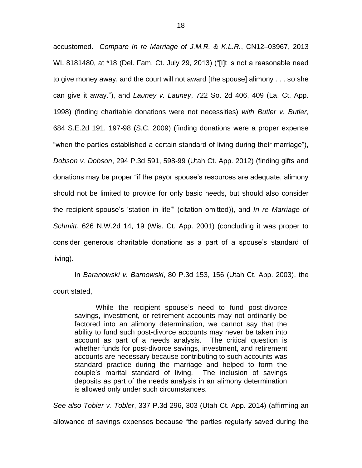accustomed. *Compare In re Marriage of J.M.R. & K.L.R.*, CN12–03967, 2013 WL 8181480, at \*18 (Del. Fam. Ct. July 29, 2013) ("[I]t is not a reasonable need to give money away, and the court will not award [the spouse] alimony . . . so she can give it away."), and *Launey v. Launey*, 722 So. 2d 406, 409 (La. Ct. App. 1998) (finding charitable donations were not necessities) *with Butler v. Butler*, 684 S.E.2d 191, 197-98 (S.C. 2009) (finding donations were a proper expense "when the parties established a certain standard of living during their marriage"), *Dobson v. Dobson*, 294 P.3d 591, 598-99 (Utah Ct. App. 2012) (finding gifts and donations may be proper "if the payor spouse's resources are adequate, alimony should not be limited to provide for only basic needs, but should also consider the recipient spouse's 'station in life'" (citation omitted)), and *In re Marriage of Schmitt*, 626 N.W.2d 14, 19 (Wis. Ct. App. 2001) (concluding it was proper to consider generous charitable donations as a part of a spouse's standard of living).

In *Baranowski v. Barnowski*, 80 P.3d 153, 156 (Utah Ct. App. 2003), the court stated,

While the recipient spouse's need to fund post-divorce savings, investment, or retirement accounts may not ordinarily be factored into an alimony determination, we cannot say that the ability to fund such post-divorce accounts may never be taken into account as part of a needs analysis. The critical question is whether funds for post-divorce savings, investment, and retirement accounts are necessary because contributing to such accounts was standard practice during the marriage and helped to form the couple's marital standard of living. The inclusion of savings deposits as part of the needs analysis in an alimony determination is allowed only under such circumstances.

*See also Tobler v. Tobler*, 337 P.3d 296, 303 (Utah Ct. App. 2014) (affirming an allowance of savings expenses because "the parties regularly saved during the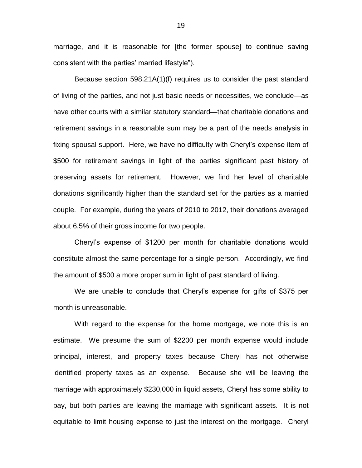marriage, and it is reasonable for [the former spouse] to continue saving consistent with the parties' married lifestyle").

Because section 598.21A(1)(f) requires us to consider the past standard of living of the parties, and not just basic needs or necessities, we conclude—as have other courts with a similar statutory standard—that charitable donations and retirement savings in a reasonable sum may be a part of the needs analysis in fixing spousal support. Here, we have no difficulty with Cheryl's expense item of \$500 for retirement savings in light of the parties significant past history of preserving assets for retirement. However, we find her level of charitable donations significantly higher than the standard set for the parties as a married couple. For example, during the years of 2010 to 2012, their donations averaged about 6.5% of their gross income for two people.

Cheryl's expense of \$1200 per month for charitable donations would constitute almost the same percentage for a single person. Accordingly, we find the amount of \$500 a more proper sum in light of past standard of living.

We are unable to conclude that Cheryl's expense for gifts of \$375 per month is unreasonable.

With regard to the expense for the home mortgage, we note this is an estimate. We presume the sum of \$2200 per month expense would include principal, interest, and property taxes because Cheryl has not otherwise identified property taxes as an expense. Because she will be leaving the marriage with approximately \$230,000 in liquid assets, Cheryl has some ability to pay, but both parties are leaving the marriage with significant assets. It is not equitable to limit housing expense to just the interest on the mortgage. Cheryl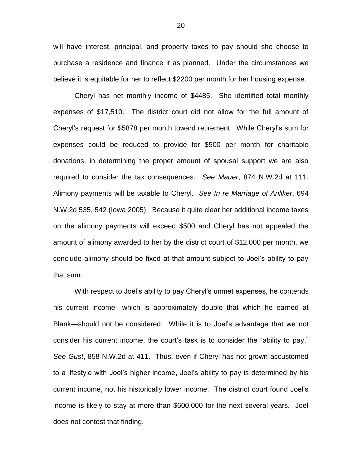will have interest, principal, and property taxes to pay should she choose to purchase a residence and finance it as planned. Under the circumstances we believe it is equitable for her to reflect \$2200 per month for her housing expense.

Cheryl has net monthly income of \$4485. She identified total monthly expenses of \$17,510. The district court did not allow for the full amount of Cheryl's request for \$5878 per month toward retirement. While Cheryl's sum for expenses could be reduced to provide for \$500 per month for charitable donations, in determining the proper amount of spousal support we are also required to consider the tax consequences. *See Mauer*, 874 N.W.2d at 111. Alimony payments will be taxable to Cheryl. *See In re Marriage of Anliker*, 694 N.W.2d 535, 542 (Iowa 2005). Because it quite clear her additional income taxes on the alimony payments will exceed \$500 and Cheryl has not appealed the amount of alimony awarded to her by the district court of \$12,000 per month, we conclude alimony should be fixed at that amount subject to Joel's ability to pay that sum.

With respect to Joel's ability to pay Cheryl's unmet expenses, he contends his current income—which is approximately double that which he earned at Blank—should not be considered. While it is to Joel's advantage that we not consider his current income, the court's task is to consider the "ability to pay." *See Gust*, 858 N.W.2d at 411. Thus, even if Cheryl has not grown accustomed to a lifestyle with Joel's higher income, Joel's ability to pay is determined by his current income, not his historically lower income. The district court found Joel's income is likely to stay at more than \$600,000 for the next several years. Joel does not contest that finding.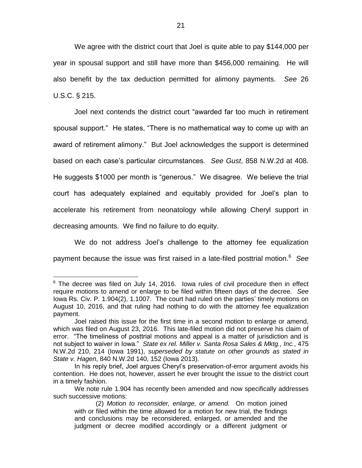We agree with the district court that Joel is quite able to pay \$144,000 per year in spousal support and still have more than \$456,000 remaining. He will also benefit by the tax deduction permitted for alimony payments. *See* 26 U.S.C. § 215.

Joel next contends the district court "awarded far too much in retirement spousal support." He states, "There is no mathematical way to come up with an award of retirement alimony." But Joel acknowledges the support is determined based on each case's particular circumstances. *See Gust*, 858 N.W.2d at 408. He suggests \$1000 per month is "generous." We disagree. We believe the trial court has adequately explained and equitably provided for Joel's plan to accelerate his retirement from neonatology while allowing Cheryl support in decreasing amounts. We find no failure to do equity.

We do not address Joel's challenge to the attorney fee equalization payment because the issue was first raised in a late-filed posttrial motion.<sup>6</sup> *See* 

 $\overline{a}$ 

 $6$  The decree was filed on July 14, 2016. Iowa rules of civil procedure then in effect require motions to amend or enlarge to be filed within fifteen days of the decree. *See*  Iowa Rs. Civ. P. 1.904(2), 1.1007. The court had ruled on the parties' timely motions on August 10, 2016, and that ruling had nothing to do with the attorney fee equalization payment.

Joel raised this issue for the first time in a second motion to enlarge or amend, which was filed on August 23, 2016. This late-filed motion did not preserve his claim of error. "The timeliness of posttrial motions and appeal is a matter of jurisdiction and is not subject to waiver in Iowa." *State ex rel. Miller v. Santa Rosa Sales & Mktg., Inc.*, 475 N.W.2d 210, 214 (Iowa 1991), *superseded by statute on other grounds as stated in State v. Hagen*, 840 N.W.2d 140, 152 (Iowa 2013).

In his reply brief, Joel argues Cheryl's preservation-of-error argument avoids his contention. He does not, however, assert he ever brought the issue to the district court in a timely fashion.

We note rule 1.904 has recently been amended and now specifically addresses such successive motions:

<sup>(2)</sup> *Motion to reconsider, enlarge, or amend.* On motion joined with or filed within the time allowed for a motion for new trial, the findings and conclusions may be reconsidered, enlarged, or amended and the judgment or decree modified accordingly or a different judgment or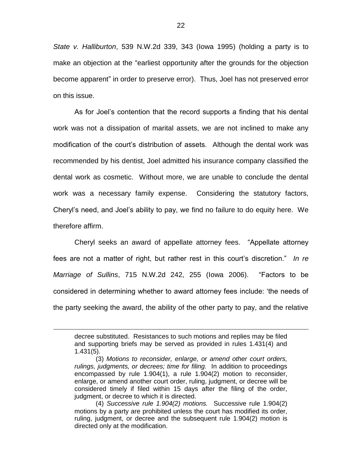*State v. Halliburton*, 539 N.W.2d 339, 343 (Iowa 1995) (holding a party is to make an objection at the "earliest opportunity after the grounds for the objection become apparent" in order to preserve error). Thus, Joel has not preserved error on this issue.

As for Joel's contention that the record supports a finding that his dental work was not a dissipation of marital assets, we are not inclined to make any modification of the court's distribution of assets. Although the dental work was recommended by his dentist, Joel admitted his insurance company classified the dental work as cosmetic. Without more, we are unable to conclude the dental work was a necessary family expense. Considering the statutory factors, Cheryl's need, and Joel's ability to pay, we find no failure to do equity here. We therefore affirm.

Cheryl seeks an award of appellate attorney fees. "Appellate attorney fees are not a matter of right, but rather rest in this court's discretion." *In re Marriage of Sullins*, 715 N.W.2d 242, 255 (Iowa 2006). "Factors to be considered in determining whether to award attorney fees include: 'the needs of the party seeking the award, the ability of the other party to pay, and the relative

 $\overline{a}$ 

decree substituted. Resistances to such motions and replies may be filed and supporting briefs may be served as provided in rules 1.431(4) and 1.431(5).

<sup>(3)</sup> *Motions to reconsider, enlarge, or amend other court orders, rulings, judgments, or decrees; time for filing.* In addition to proceedings encompassed by rule 1.904(1), a rule 1.904(2) motion to reconsider, enlarge, or amend another court order, ruling, judgment, or decree will be considered timely if filed within 15 days after the filing of the order, judgment, or decree to which it is directed.

<sup>(4)</sup> *Successive rule 1.904(2) motions.* Successive rule 1.904(2) motions by a party are prohibited unless the court has modified its order, ruling, judgment, or decree and the subsequent rule 1.904(2) motion is directed only at the modification.